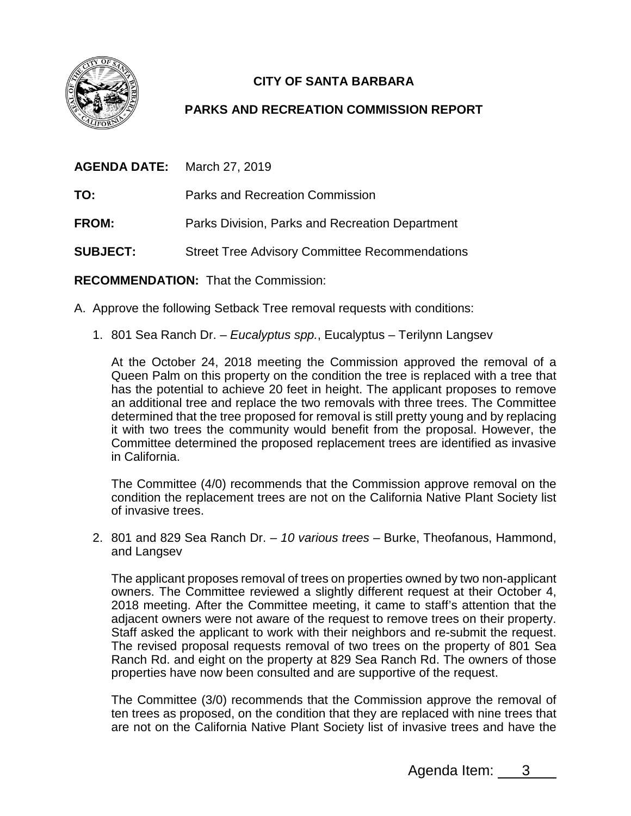

## **CITY OF SANTA BARBARA**

## **PARKS AND RECREATION COMMISSION REPORT**

| <b>AGENDA DATE:</b> March 27, 2019 |                                                       |
|------------------------------------|-------------------------------------------------------|
| TO:                                | Parks and Recreation Commission                       |
| <b>FROM:</b>                       | Parks Division, Parks and Recreation Department       |
| <b>SUBJECT:</b>                    | <b>Street Tree Advisory Committee Recommendations</b> |
|                                    |                                                       |

**RECOMMENDATION:** That the Commission:

- A. Approve the following Setback Tree removal requests with conditions:
	- 1. 801 Sea Ranch Dr. *Eucalyptus spp.*, Eucalyptus Terilynn Langsev

At the October 24, 2018 meeting the Commission approved the removal of a Queen Palm on this property on the condition the tree is replaced with a tree that has the potential to achieve 20 feet in height. The applicant proposes to remove an additional tree and replace the two removals with three trees. The Committee determined that the tree proposed for removal is still pretty young and by replacing it with two trees the community would benefit from the proposal. However, the Committee determined the proposed replacement trees are identified as invasive in California.

The Committee (4/0) recommends that the Commission approve removal on the condition the replacement trees are not on the California Native Plant Society list of invasive trees.

2. 801 and 829 Sea Ranch Dr. – *10 various trees* – Burke, Theofanous, Hammond, and Langsev

The applicant proposes removal of trees on properties owned by two non-applicant owners. The Committee reviewed a slightly different request at their October 4, 2018 meeting. After the Committee meeting, it came to staff's attention that the adjacent owners were not aware of the request to remove trees on their property. Staff asked the applicant to work with their neighbors and re-submit the request. The revised proposal requests removal of two trees on the property of 801 Sea Ranch Rd. and eight on the property at 829 Sea Ranch Rd. The owners of those properties have now been consulted and are supportive of the request.

The Committee (3/0) recommends that the Commission approve the removal of ten trees as proposed, on the condition that they are replaced with nine trees that are not on the California Native Plant Society list of invasive trees and have the

Agenda Item: 3